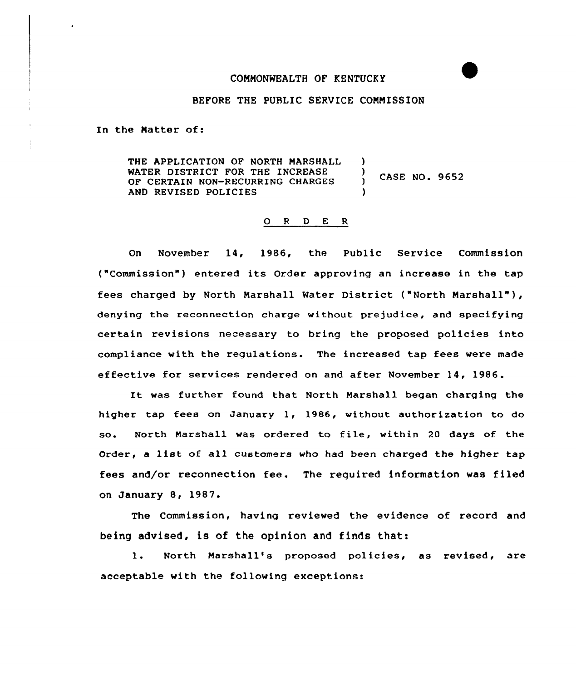## COMMONWEALTH OF KENTUCKY

## BEFORE THE PUBLIC SERVICE COMMISSION

In the Matter of:

THE APPLICATION OF NORTH MARSHALL )<br>WATER DISTRICT FOR THE INCREASE WATER DISTRICT FOR THE INCREASE )<br>OF CERTAIN NON-RECURRING CHARGES CASE NO. 9652 OF CERTAIN NON-RECURRING CHARGES AND REVISED POLICIES

## 0 <sup>R</sup> <sup>D</sup> E R

On November 14, 1986, the Public Service Commission ("Commission" ) entered its Order approving an increase in the tap fees charged by North Marshall Water District ("North Marshall" ), denying the reconnection charge without prejudice, and specifying certain revisions necessary to bring the proposed policies into compliance with the regulations. The increased tap fees were made effective for services rendered on and after November 14, 1986.

It was further found that North Marshall began charging the higher tap fees on January 1, 1986, without authorization to do so. North Marshall was ordered to file, within <sup>20</sup> days of the Order, <sup>a</sup> list of all customers who had been charged the higher tap fees and/or reconnection fee. The required information was filed on January 8, 1987.

The Commission, having reviewed the evidence of record and being advised, is of the opinion and finds that:

1. North Marshall's proposed policies, as revised, are acceptable with the following exceptions: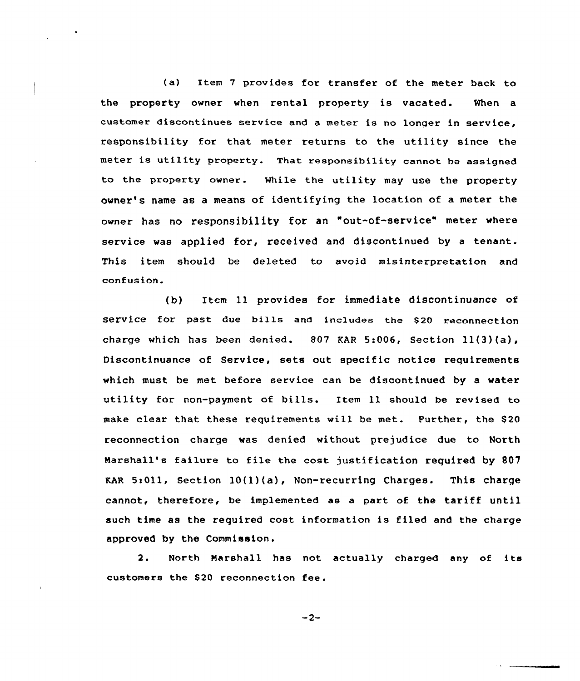(a) Item <sup>7</sup> provides for transfer of the meter back to the property owner when rental property is vacated. When a customer discontinues service and a meter is no longer in service, responsibility for that meter returns to the utility since the meter is utility property. That responsibility cannot he assigned to the property owner. While the utility may use the property owner's name as a means of identifying the location of a meter the owner has no responsibility for an "out-of-service" meter where service was applied for, received and discontinued by <sup>a</sup> tenant. This item should be deleted to avoid misinterpretation and confusion.

(b) Item 11 provides for immediate discontinuance of service for past due bills and includes the \$20 reconnection charge which has been denied. 807 EAR 5:006, Section 11(3)(a), Discontinuance of Service, sets out specific notice requirements which must be met before service can be discontinued by a water utility for non-payment of bills. Item ll should be revised to make clear that these requirements will be met. Further, the \$20 reconnection charge was denied without prejudice due to North Narshall's failure to file the cost justification required by 807  $KAR$  5:011, Section 10(1)(a), Non-recurring Charges. This charge cannot, therefore, be implemented as <sup>a</sup> part of the tariff until such time as the required cost information is filed and the charge approved by the Commission.

2. North Marshall has not actually charged any of its customers the \$<sup>20</sup> reconnection fee.

 $-2-$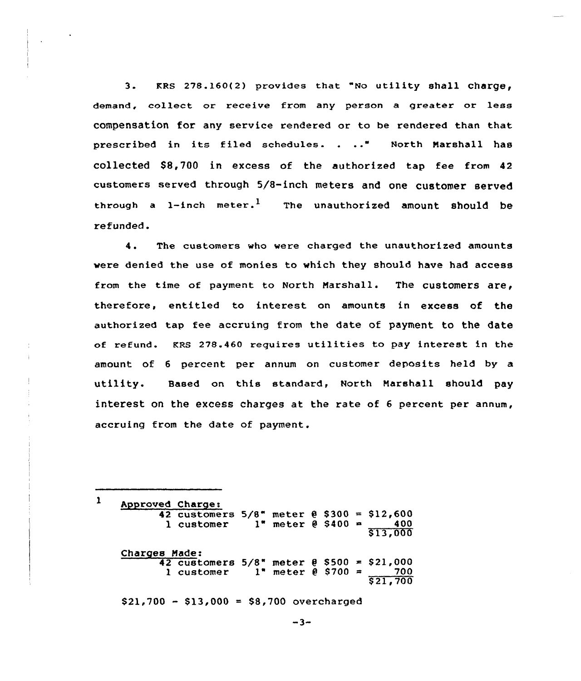3. KRS  $278.160(2)$  provides that "No utility shall charge, demand, collect or receive from any person a greater or less compensation for any service rendered or to be rendered than that prescribed in its filed schedules. . .." North Marshall has collected S8,700 in excess of the authorized tap fee from 42 customers served through 5/8-inch meters and one customer served through a 1-inch meter.<sup>1</sup> The unauthorized amount should be refunded.

4. The customers who were charged the unauthorized amounts were denied the use of monies to which they should have had access from the time of payment to North Marshall. The customers are, therefore, entitled to interest on amounts in excess of the authorized tap fee accruing from the date of payment to the date of refund. KRS 278.460 requires utilities to pay interest in the amount of 6 percent per annum on customer deposits held by a utility. Based on this standard, North Marshall should pay interest on the excess charges at the rate of <sup>6</sup> percent per annum, accruing from the date of payment.

Approved Charger 42 customers  $5/8$ " meter  $\theta$  \$300 = \$12,600<br>1 customer 1" meter  $\theta$  \$400 = 400  $1"$  meter  $0$  \$400  $-$ S13,000 Charges Made:

 $\mathbf{1}$ 

42 customers  $5/8$ <sup>\*</sup> meter  $0$  \$500 = \$21,000<br>1 customer 1<sup>\*</sup> meter  $0$  \$700 = 700  $1"$  meter  $0$  \$700  $=$ \$ 21,700

 $$21,700 - $13,000 = $8,700$  overcharged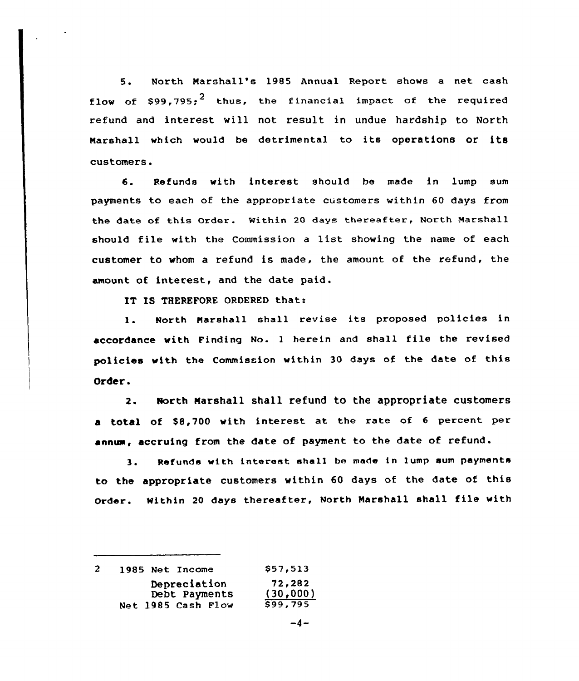5. North Marshall's 198S Annual Report shows <sup>a</sup> net cash flow of  $\text{S99.795:}^2$  thus, the financial impact of the required refund and interest will not result in undue hardship to North Marshall which would be detrimental to its operations or its customers.

6. Refunds with interest should be made in lump sum payments to each of the appropriate customers within 60 days from the date of this Order. Mithin 20 days thereafter, North Marshall should file with the Commission <sup>a</sup> list showing the name of each customer to whom a refund is made, the amount of the refund, the amount of interest, and the date paid .

IT IS THEREFORE ORDERED that:

1. North Narshall shall revise its proposed policies in accordance with Finding No. <sup>1</sup> herein and shall file the revised policies with the Commission within 30 days of the date of this Order.

2. North Marshall shall refund to the appropriate customers a total of S8,700 with interest at the rate of <sup>6</sup> percent per annum, accruing from the date of payment to the date of refund.

3. Refunds with interest shall be made in lump sum payments to the appropriate customers within <sup>60</sup> days of the date of this Order. Within <sup>20</sup> days thereafter, North marshall shall file with

|  | 1985 Net Income    | \$57,513 |
|--|--------------------|----------|
|  | Depreciation       | 72,282   |
|  | Debt Payments      | (30,000) |
|  | Net 1985 Cash Flow | \$99,795 |

 $-4-$